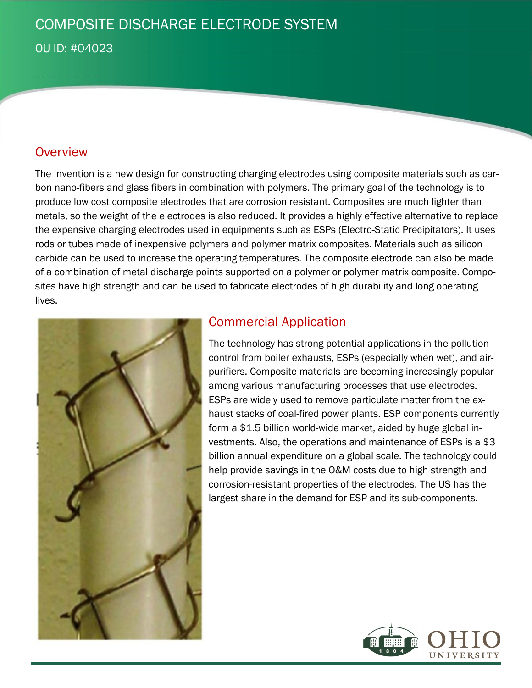# COMPOSITE DISCHARGE ELECTRODE SYSTEM

OU ID: #04023

### **Overview**

The invention is a new design for constructing charging electrodes using composite materials such as carbon nano-fibers and glass fibers in combination with polymers. The primary goal of the technology is to produce low cost composite electrodes that are corrosion resistant. Composites are much lighter than metals, so the weight of the electrodes is also reduced. It provides a highly effective alternative to replace the expensive charging electrodes used in equipments such as ESPs (Electro-Static Precipitators). It uses rods or tubes made of inexpensive polymers and polymer matrix composites. Materials such as silicon carbide can be used to increase the operating temperatures. The composite electrode can also be made of a combination of metal discharge points supported on a polymer or polymer matrix composite. Composites have high strength and can be used to fabricate electrodes of high durability and long operating lives.



## Commercial Application

The technology has strong potential applications in the pollution control from boiler exhausts, ESPs (especially when wet), and airpurifiers. Composite materials are becoming increasingly popular among various manufacturing processes that use electrodes. ESPs are widely used to remove particulate matter from the exhaust stacks of coal-fired power plants. ESP components currently form a \$1.5 billion world-wide market, aided by huge global investments. Also, the operations and maintenance of ESPs is a \$3 billion annual expenditure on a global scale. The technology could help provide savings in the O&M costs due to high strength and corrosion-resistant properties of the electrodes. The US has the largest share in the demand for ESP and its sub-components.